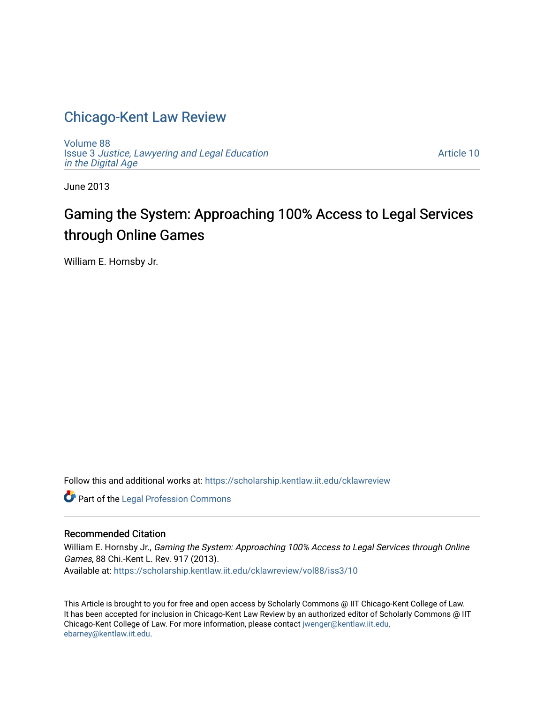# [Chicago-Kent Law Review](https://scholarship.kentlaw.iit.edu/cklawreview)

[Volume 88](https://scholarship.kentlaw.iit.edu/cklawreview/vol88) Issue 3 [Justice, Lawyering and Legal Education](https://scholarship.kentlaw.iit.edu/cklawreview/vol88/iss3)  [in the Digital Age](https://scholarship.kentlaw.iit.edu/cklawreview/vol88/iss3) 

[Article 10](https://scholarship.kentlaw.iit.edu/cklawreview/vol88/iss3/10) 

June 2013

# Gaming the System: Approaching 100% Access to Legal Services through Online Games

William E. Hornsby Jr.

Follow this and additional works at: [https://scholarship.kentlaw.iit.edu/cklawreview](https://scholarship.kentlaw.iit.edu/cklawreview?utm_source=scholarship.kentlaw.iit.edu%2Fcklawreview%2Fvol88%2Fiss3%2F10&utm_medium=PDF&utm_campaign=PDFCoverPages) 

**Part of the [Legal Profession Commons](http://network.bepress.com/hgg/discipline/1075?utm_source=scholarship.kentlaw.iit.edu%2Fcklawreview%2Fvol88%2Fiss3%2F10&utm_medium=PDF&utm_campaign=PDFCoverPages)** 

#### Recommended Citation

William E. Hornsby Jr., Gaming the System: Approaching 100% Access to Legal Services through Online Games, 88 Chi.-Kent L. Rev. 917 (2013). Available at: [https://scholarship.kentlaw.iit.edu/cklawreview/vol88/iss3/10](https://scholarship.kentlaw.iit.edu/cklawreview/vol88/iss3/10?utm_source=scholarship.kentlaw.iit.edu%2Fcklawreview%2Fvol88%2Fiss3%2F10&utm_medium=PDF&utm_campaign=PDFCoverPages) 

This Article is brought to you for free and open access by Scholarly Commons @ IIT Chicago-Kent College of Law. It has been accepted for inclusion in Chicago-Kent Law Review by an authorized editor of Scholarly Commons @ IIT Chicago-Kent College of Law. For more information, please contact [jwenger@kentlaw.iit.edu,](mailto:jwenger@kentlaw.iit.edu,%20ebarney@kentlaw.iit.edu) [ebarney@kentlaw.iit.edu](mailto:jwenger@kentlaw.iit.edu,%20ebarney@kentlaw.iit.edu).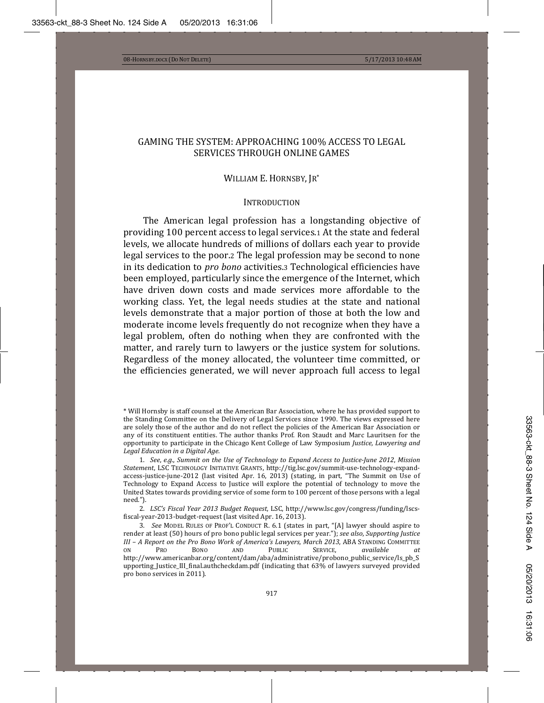# GAMING THE SYSTEM: APPROACHING 100% ACCESS TO LEGAL SERVICES THROUGH ONLINE GAMES

#### WILLIAM E. HORNSBY, JR\*

#### **INTRODUCTION**

The American legal profession has a longstanding objective of providing 100 percent access to legal services. At the state and federal levels, we allocate hundreds of millions of dollars each year to provide legal services to the poor.2 The legal profession may be second to none in its dedication to *pro bono* activities.<sup>3</sup> Technological efficiencies have been employed, particularly since the emergence of the Internet, which have driven down costs and made services more affordable to the working class. Yet, the legal needs studies at the state and national levels demonstrate that a major portion of those at both the low and moderate income levels frequently do not recognize when they have a legal problem, often do nothing when they are confronted with the matter, and rarely turn to lawyers or the justice system for solutions. Regardless of the money allocated, the volunteer time committed, or the efficiencies generated, we will never approach full access to legal

<sup>\*</sup> Will Hornsby is staff counsel at the American Bar Association, where he has provided support to the Standing Committee on the Delivery of Legal Services since 1990. The views expressed here are solely those of the author and do not reflect the policies of the American Bar Association or any of its constituent entities. The author thanks Prof. Ron Staudt and Marc Lauritsen for the *Justice, Lawyering and Legal Education in a Digital Age.*

ͳǤ *See*ǡ*e.g.*ǡ*Summit on the Use of Technology to Expand Access to JusticeǦJune 2012*ǡ *Mission* Statement, LSC TECHNOLOGY INITIATIVE GRANTS, http://tig.lsc.gov/summit-use-technology-expandaccess-justice-june-2012 (last visited Apr. 16, 2013) (stating, in part, "The Summit on Use of Technology to Expand Access to Justice will explore the potential of technology to move the United States towards providing service of some form to 100 percent of those persons with a legal need.").

<sup>2.</sup> LSC's Fiscal Year 2013 Budget Request, LSC, http://www.lsc.gov/congress/funding/lscsfiscal-year-2013-budget-request (last visited Apr. 16, 2013).

<sup>3.</sup> See MODEL RULES OF PROF'L CONDUCT R. 6.1 (states in part, "[A] lawyer should aspire to render at least (50) hours of pro bono public legal services per year."); see also, Supporting Justice *III – A Report on the Pro Bono Work of America's Lawyers, March 2013*ǡ   on Pro Bono and Public Service, available at http://www.americanbar.org/content/dam/aba/administrative/probono\_public\_service/ls\_pb\_S upporting Justice III final authcheckdam.pdf (indicating that 63% of lawyers surveyed provided pro bono services in 2011).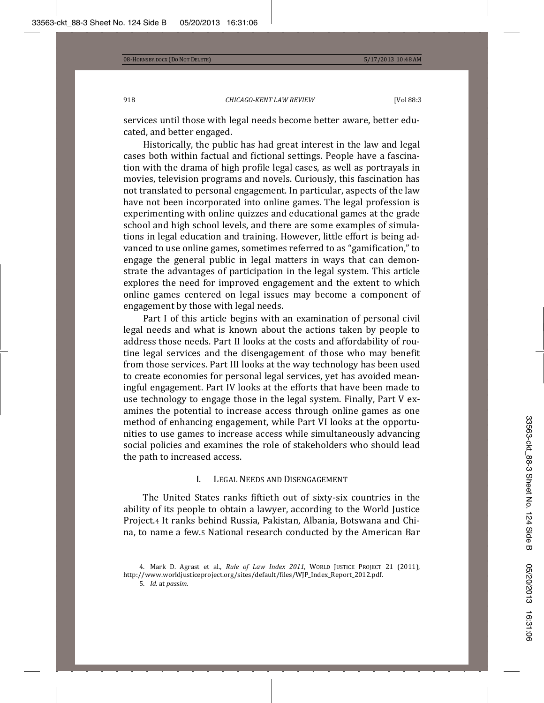services until those with legal needs become better aware, better educated, and better engaged.

Historically, the public has had great interest in the law and legal cases both within factual and fictional settings. People have a fascination with the drama of high profile legal cases, as well as portrayals in movies, television programs and novels. Curiously, this fascination has not translated to personal engagement. In particular, aspects of the law have not been incorporated into online games. The legal profession is experimenting with online quizzes and educational games at the grade school and high school levels, and there are some examples of simulations in legal education and training. However, little effort is being advanced to use online games, sometimes referred to as "gamification," to engage the general public in legal matters in ways that can demonstrate the advantages of participation in the legal system. This article explores the need for improved engagement and the extent to which online games centered on legal issues may become a component of engagement by those with legal needs.

Part I of this article begins with an examination of personal civil legal needs and what is known about the actions taken by people to address those needs. Part II looks at the costs and affordability of routine legal services and the disengagement of those who may benefit from those services. Part III looks at the way technology has been used to create economies for personal legal services, yet has avoided meaningful engagement. Part IV looks at the efforts that have been made to use technology to engage those in the legal system. Finally, Part V examines the potential to increase access through online games as one method of enhancing engagement, while Part VI looks at the opportunities to use games to increase access while simultaneously advancing social policies and examines the role of stakeholders who should lead the path to increased access.

# I. LEGAL NEEDS AND DISENGAGEMENT

The United States ranks fiftieth out of sixty-six countries in the ability of its people to obtain a lawyer, according to the World Justice Project.4 It ranks behind Russia, Pakistan, Albania, Botswana and China, to name a few.5 National research conducted by the American Bar

<sup>4.</sup> Mark D. Agrast et al., Rule of Law Index 2011, WORLD JUSTICE PROJECT 21 (2011), http://www.worldjusticeproject.org/sites/default/files/WJP\_Index\_Report\_2012.pdf.

<sup>5.</sup> *Id.* at passim.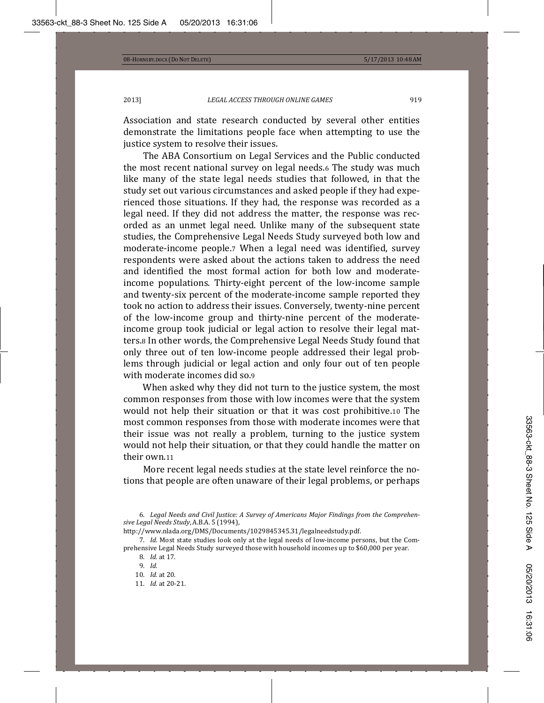Association and state research conducted by several other entities demonstrate the limitations people face when attempting to use the justice system to resolve their issues.

The ABA Consortium on Legal Services and the Public conducted the most recent national survey on legal needs.6 The study was much like many of the state legal needs studies that followed, in that the study set out various circumstances and asked people if they had experienced those situations. If they had, the response was recorded as a legal need. If they did not address the matter, the response was recorded as an unmet legal need. Unlike many of the subsequent state studies, the Comprehensive Legal Needs Study surveyed both low and moderate-income people.7 When a legal need was identified, survey respondents were asked about the actions taken to address the need and identified the most formal action for both low and moderateincome populations. Thirty-eight percent of the low-income sample and twenty-six percent of the moderate-income sample reported they took no action to address their issues. Conversely, twenty-nine percent of the low-income group and thirty-nine percent of the moderateincome group took judicial or legal action to resolve their legal matters.<sub>8</sub> In other words, the Comprehensive Legal Needs Study found that only three out of ten low-income people addressed their legal problems through judicial or legal action and only four out of ten people with moderate incomes did so.9

When asked why they did not turn to the justice system, the most common responses from those with low incomes were that the system would not help their situation or that it was cost prohibitive.10 The most common responses from those with moderate incomes were that their issue was not really a problem, turning to the justice system would not help their situation, or that they could handle the matter on their own.11

More recent legal needs studies at the state level reinforce the notions that people are often unaware of their legal problems, or perhaps

 Ǥ *Legal Needs and Civil Justice: A Survey of Americans Major Findings from the ComprehenǦ sive Legal Needs Study*, A.B.A. 5 (1994),

http://www.nlada.org/DMS/Documents/1029845345.31/legalneedstudy.pdf.

7. *Id.* Most state studies look only at the legal needs of low-income persons, but the Comprehensive Legal Needs Study surveyed those with household incomes up to \$60,000 per year.

10. *Id.* at 20.

<sup>8.</sup> *Id.* at 17.

<sup>9.</sup> *Id.* 

<sup>11.</sup> *Id.* at 20-21.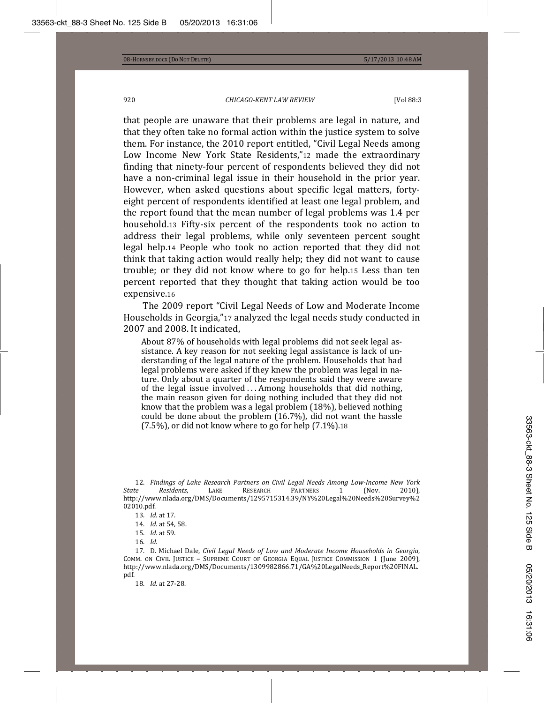that people are unaware that their problems are legal in nature, and that they often take no formal action within the justice system to solve them. For instance, the 2010 report entitled, "Civil Legal Needs among Low Income New York State Residents,"12 made the extraordinary finding that ninety-four percent of respondents believed they did not have a non-criminal legal issue in their household in the prior year. However, when asked questions about specific legal matters, fortyeight percent of respondents identified at least one legal problem, and the report found that the mean number of legal problems was 1.4 per household.13 Fifty-six percent of the respondents took no action to address their legal problems, while only seventeen percent sought legal help.14 People who took no action reported that they did not think that taking action would really help; they did not want to cause trouble; or they did not know where to go for help.15 Less than ten percent reported that they thought that taking action would be too expensive.16

The 2009 report "Civil Legal Needs of Low and Moderate Income Households in Georgia,"17 analyzed the legal needs study conducted in 2007 and 2008. It indicated,

About 87% of households with legal problems did not seek legal assistance. A key reason for not seeking legal assistance is lack of understanding of the legal nature of the problem. Households that had legal problems were asked if they knew the problem was legal in nature. Only about a quarter of the respondents said they were aware of the legal issue involved ... Among households that did nothing, the main reason given for doing nothing included that they did not know that the problem was a legal problem (18%), believed nothing could be done about the problem (16.7%), did not want the hassle  $(7.5%)$ , or did not know where to go for help  $(7.1%)$ .18

 ͳʹǤ *Findings of Lake Research Partners on Civil Legal Needs Among LowǦIncome New York RESEARCH* http://www.nlada.org/DMS/Documents/1295715314.39/NY%20Legal%20Needs%20Survey%2 02010.pdf.

17. D. Michael Dale, *Civil Legal Needs of Low and Moderate Income Households in Georgia*, COMM. ON CIVIL JUSTICE – SUPREME COURT OF GEORGIA EQUAL JUSTICE COMMISSION 1 (June 2009), http://www.nlada.org/DMS/Documents/1309982866.71/GA%20LegalNeeds\_Report%20FINAL. pdf.

18. *Id.* at 27-28.

<sup>13.</sup> *Id.* at 17.

<sup>14.</sup> *Id.* at 54, 58.

<sup>15.</sup> *Id.* at 59.

<sup>16.</sup> *Id.*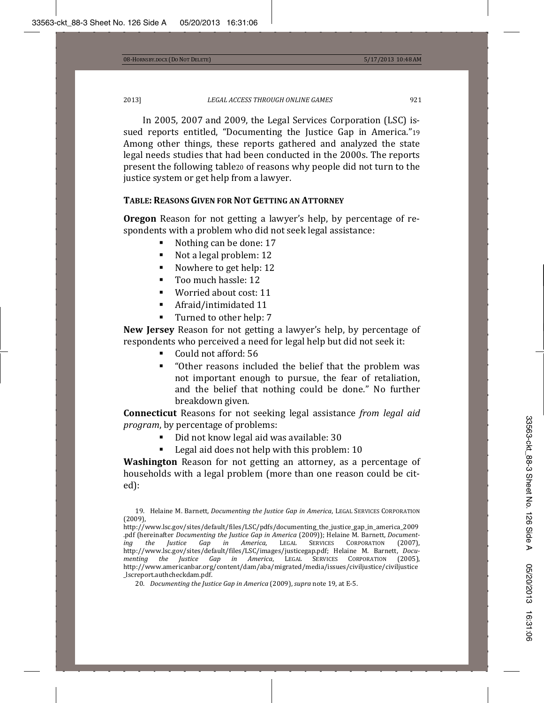In 2005, 2007 and 2009, the Legal Services Corporation (LSC) issued reports entitled, "Documenting the Justice Gap in America."19 Among other things, these reports gathered and analyzed the state legal needs studies that had been conducted in the 2000s. The reports present the following tablezo of reasons why people did not turn to the justice system or get help from a lawyer.

#### **TABLE: REASONS GIVEN FOR NOT GETTING AN ATTORNEY**

**Oregon** Reason for not getting a lawyer's help, by percentage of respondents with a problem who did not seek legal assistance:

- Nothing can be done: 17
- Not a legal problem: 12
- Nowhere to get help: 12
- Too much hassle: 12
- Worried about cost: 11
- Afraid/intimidated 11
- Turned to other help: 7

**New Jersey** Reason for not getting a lawyer's help, by percentage of respondents who perceived a need for legal help but did not seek it:

- Could not afford: 56
- "Other reasons included the belief that the problem was not important enough to pursue, the fear of retaliation, and the belief that nothing could be done." No further breakdown given.

**Connecticut** Reasons for not seeking legal assistance from legal aid *program*, by percentage of problems:

- Did not know legal aid was available: 30
- Legal aid does not help with this problem: 10

**Washington** Reason for not getting an attorney, as a percentage of households with a legal problem (more than one reason could be cited):

**<sup>19.</sup>** Helaine M. Barnett, Documenting the Justice Gap in America, LEGAL SERVICES CORPORATION  $(2009)$ .

http://www.lsc.gov/sites/default/files/LSC/pdfs/documenting\_the\_justice\_gap\_in\_america\_2009 *n***df (hereinafter Documenting the Justice Gap in America (2009)); Helaine M. Barnett, Document-<br>** *ing* **the** *Justice Gap in America***, LEGAL SERVICES CORPORATION (2007),** *America*, LEGAL *ing the Justice Gap in America,* LEGAL SERVICES CORPORATION (2007),<br>http://www.lsc.gov/sites/default/files/LSC/images/justicegap.pdf; Helaine-M. Barnett, *Documenting the Justice Gap in America,* LEGAL SERVICES CORPORATION (2005), http://www.americanbar.org/content/dam/aba/migrated/media/issues/civiljustice/civiljustice \_lscreport.authcheckdam.pdf.

<sup>20.</sup> *Documenting the Justice Gap in America* (2009), *supra* note 19, at E-5.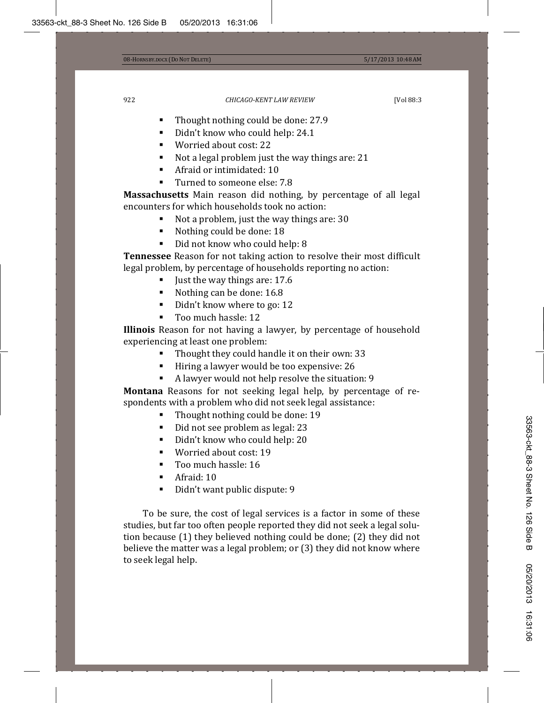- Thought nothing could be done: 27.9<br>■ Didn't know who could beln: 24.1
- Didn't know who could help: 24.1
- Worried about cost: 22
- Not a legal problem just the way things are: 21
- **Afraid or intimidated: 10**
- Turned to someone else: 7.8

**Massachusetts** Main reason did nothing, by percentage of all legal encounters for which households took no action:

- Not a problem, just the way things are: 30<br>■ Nothing could be done: 18
- Nothing could be done: 18
- Did not know who could help: 8

**Tennessee** Reason for not taking action to resolve their most difficult legal problem, by percentage of households reporting no action:

- Just the way things are: 17.6<br>■ Nothing can be done: 16.8
- Nothing can be done: 16.8
- Didn't know where to go: 12
- Too much hassle: 12

**Illinois** Reason for not having a lawyer, by percentage of household experiencing at least one problem:

- Thought they could handle it on their own: 33
- Hiring a lawyer would be too expensive: 26
- A lawyer would not help resolve the situation: 9

**Montana** Reasons for not seeking legal help, by percentage of respondents with a problem who did not seek legal assistance:

- Thought nothing could be done: 19
- Did not see problem as legal: 23
- Didn't know who could help: 20<br>■ Worried about cost: 19
- Worried about cost: 19
- Too much hassle: 16
- Afraid: 10
- Didn't want public dispute: 9

To be sure, the cost of legal services is a factor in some of these studies, but far too often people reported they did not seek a legal solution because (1) they believed nothing could be done; (2) they did not believe the matter was a legal problem; or (3) they did not know where to seek legal help.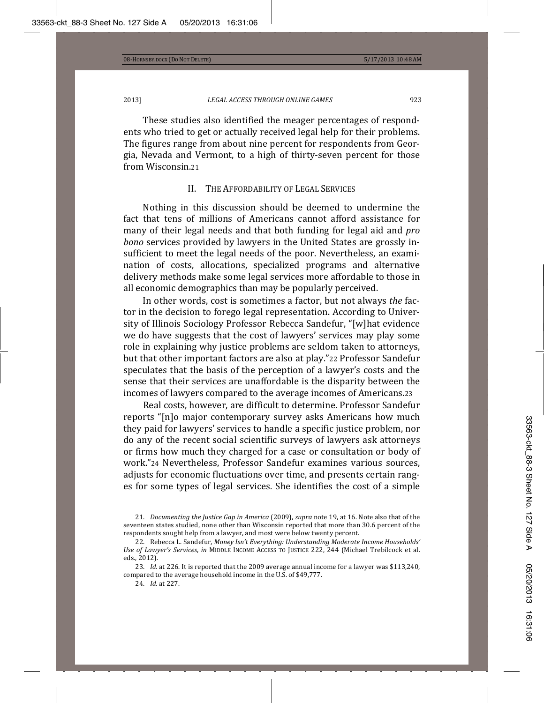These studies also identified the meager percentages of respondents who tried to get or actually received legal help for their problems. The figures range from about nine percent for respondents from Georgia, Nevada and Vermont, to a high of thirty-seven percent for those from Wisconsin.21

# II. THE AFFORDABILITY OF LEGAL SERVICES

Nothing in this discussion should be deemed to undermine the fact that tens of millions of Americans cannot afford assistance for many of their legal needs and that both funding for legal aid and *pro bono* services provided by lawyers in the United States are grossly insufficient to meet the legal needs of the poor. Nevertheless, an examination of costs, allocations, specialized programs and alternative delivery methods make some legal services more affordable to those in all economic demographics than may be popularly perceived.

In other words, cost is sometimes a factor, but not always the factor in the decision to forego legal representation. According to University of Illinois Sociology Professor Rebecca Sandefur, "[w] hat evidence we do have suggests that the cost of lawyers' services may play some role in explaining why justice problems are seldom taken to attorneys, but that other important factors are also at play."22 Professor Sandefur speculates that the basis of the perception of a lawyer's costs and the sense that their services are unaffordable is the disparity between the incomes of lawyers compared to the average incomes of Americans.23

Real costs, however, are difficult to determine, Professor Sandefur reports "[n]o major contemporary survey asks Americans how much they paid for lawyers' services to handle a specific justice problem, nor do any of the recent social scientific surveys of lawyers ask attorneys or firms how much they charged for a case or consultation or body of work."24 Nevertheless. Professor Sandefur examines various sources. adjusts for economic fluctuations over time, and presents certain ranges for some types of legal services. She identifies the cost of a simple

<sup>21.</sup> Documenting the Justice Gap in America (2009), supra note 19, at 16. Note also that of the seventeen states studied, none other than Wisconsin reported that more than 30.6 percent of the respondents sought help from a lawyer, and most were below twenty percent.

ʹʹǤ Ǥǡ*Money Isn't Everything: Understanding Moderate Income Households'* Use of Lawyer's Services, in MIDDLE INCOME ACCESS TO JUSTICE 222, 244 (Michael Trebilcock et al. eds., 2012).

<sup>23.</sup> *Id.* at 226. It is reported that the 2009 average annual income for a lawyer was \$113,240, compared to the average household income in the U.S. of \$49,777.

<sup>24.</sup> *Id.* at 227.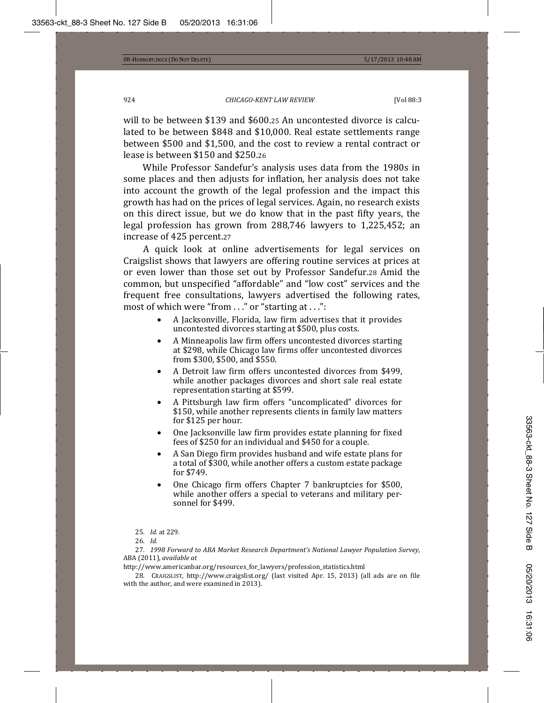will to be between \$139 and \$600.25 An uncontested divorce is calculated to be between \$848 and \$10,000. Real estate settlements range between \$500 and \$1,500, and the cost to review a rental contract or lease is between \$150 and \$250.26

While Professor Sandefur's analysis uses data from the 1980s in some places and then adjusts for inflation, her analysis does not take into account the growth of the legal profession and the impact this growth has had on the prices of legal services. Again, no research exists on this direct issue, but we do know that in the past fifty years, the legal profession has grown from  $288,746$  lawyers to  $1,225,452$ ; an increase of 425 percent.27

A quick look at online advertisements for legal services on Craigslist shows that lawyers are offering routine services at prices at or even lower than those set out by Professor Sandefur.28 Amid the common, but unspecified "affordable" and "low cost" services and the frequent free consultations, lawyers advertised the following rates, most of which were "from  $\ldots$ " or "starting at  $\ldots$ ":

- A Jacksonville, Florida, law firm advertises that it provides uncontested divorces starting at \$500, plus costs.
- A Minneapolis law firm offers uncontested divorces starting at \$298, while Chicago law firms offer uncontested divorces  $from $300. $500. and $550.$
- A Detroit law firm offers uncontested divorces from \$499. while another packages divorces and short sale real estate representation starting at \$599.
- A Pittsburgh law firm offers "uncomplicated" divorces for \$150, while another represents clients in family law matters for \$125 per hour.
- One Jacksonville law firm provides estate planning for fixed fees of \$250 for an individual and \$450 for a couple.
- A San Diego firm provides husband and wife estate plans for a total of \$300, while another offers a custom estate package for \$749.
- One Chicago firm offers Chapter 7 bankruptcies for \$500, while another offers a special to veterans and military personnel for \$499.
- 25. *Id.* at 229.
- 26. Id.

 ʹǤ *1998 Forward to ABA Market Research Department's National Lawyer Population Survey*ǡ  $ABA (2011)$ , *available at* 

http://www.americanbar.org/resources\_for\_lawyers/profession\_statistics.html

28. CRAIGSLIST, http://www.craigslist.org/ (last visited Apr. 15, 2013) (all ads are on file with the author, and were examined in 2013).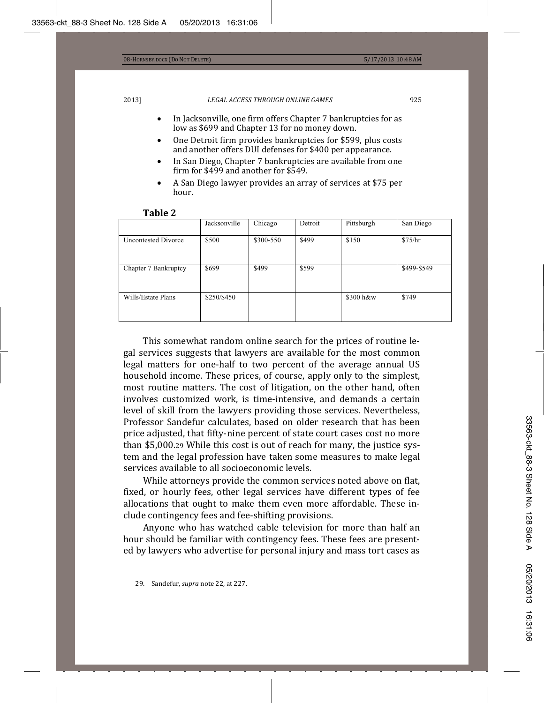- In Jacksonville, one firm offers Chapter 7 bankruptcies for as low as \$699 and Chapter 13 for no money down.
- One Detroit firm provides bankruptcies for \$599, plus costs and another offers DUI defenses for \$400 per appearance.
- In San Diego, Chapter 7 bankruptcies are available from one firm for \$499 and another for \$549.
- A San Diego lawyer provides an array of services at \$75 per hour.

|                            | Jacksonville | Chicago   | Detroit | Pittsburgh | San Diego   |
|----------------------------|--------------|-----------|---------|------------|-------------|
| <b>Uncontested Divorce</b> | \$500        | \$300-550 | \$499   | \$150      | \$75/hr     |
| Chapter 7 Bankruptcy       | \$699        | \$499     | \$599   |            | \$499-\$549 |
| Wills/Estate Plans         | \$250/\$450  |           |         | \$300 h&w  | \$749       |

#### **Table 2**

This somewhat random online search for the prices of routine legal services suggests that lawyers are available for the most common legal matters for one-half to two percent of the average annual US household income. These prices, of course, apply only to the simplest, most routine matters. The cost of litigation, on the other hand, often involves customized work, is time-intensive, and demands a certain level of skill from the lawyers providing those services. Nevertheless, Professor Sandefur calculates, based on older research that has been price adjusted, that fifty-nine percent of state court cases cost no more than \$5,000.29 While this cost is out of reach for many, the justice system and the legal profession have taken some measures to make legal services available to all socioeconomic levels.

While attorneys provide the common services noted above on flat, fixed, or hourly fees, other legal services have different types of fee allocations that ought to make them even more affordable. These include contingency fees and fee-shifting provisions.

Anyone who has watched cable television for more than half an hour should be familiar with contingency fees. These fees are presented by lawyers who advertise for personal injury and mass tort cases as

<sup>29.</sup> Sandefur, *supra* note 22, at 227.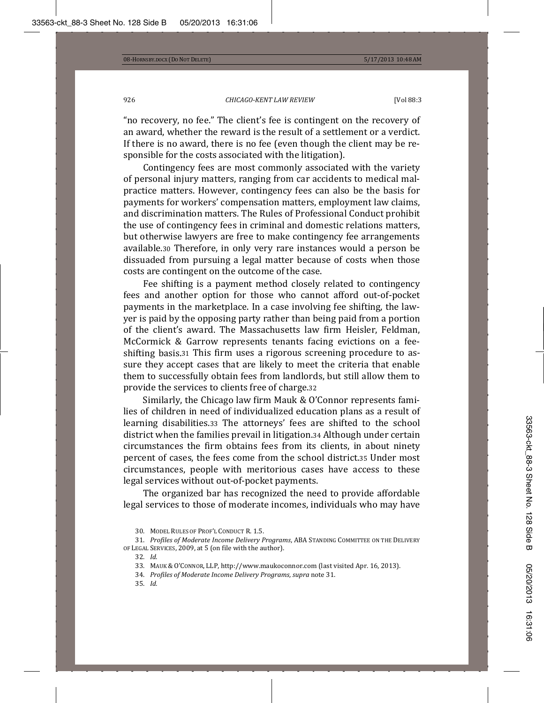"no recovery, no fee." The client's fee is contingent on the recovery of an award, whether the reward is the result of a settlement or a verdict. If there is no award, there is no fee (even though the client may be responsible for the costs associated with the litigation).

Contingency fees are most commonly associated with the variety of personal injury matters, ranging from car accidents to medical malpractice matters. However, contingency fees can also be the basis for payments for workers' compensation matters, employment law claims, and discrimination matters. The Rules of Professional Conduct prohibit the use of contingency fees in criminal and domestic relations matters, but otherwise lawyers are free to make contingency fee arrangements available.30 Therefore, in only very rare instances would a person be dissuaded from pursuing a legal matter because of costs when those costs are contingent on the outcome of the case.

Fee shifting is a payment method closely related to contingency fees and another option for those who cannot afford out-of-pocket payments in the marketplace. In a case involving fee shifting, the lawyer is paid by the opposing party rather than being paid from a portion of the client's award. The Massachusetts law firm Heisler, Feldman, McCormick & Garrow represents tenants facing evictions on a feeshifting basis.31 This firm uses a rigorous screening procedure to assure they accept cases that are likely to meet the criteria that enable them to successfully obtain fees from landlords, but still allow them to provide the services to clients free of charge.32

Similarly, the Chicago law firm Mauk & O'Connor represents families of children in need of individualized education plans as a result of learning disabilities.33 The attorneys' fees are shifted to the school district when the families prevail in litigation.34 Although under certain circumstances the firm obtains fees from its clients, in about ninety percent of cases, the fees come from the school district.35 Under most circumstances, people with meritorious cases have access to these legal services without out-of-pocket payments.

The organized bar has recognized the need to provide affordable legal services to those of moderate incomes, individuals who may have

- 34. Profiles of Moderate Income Delivery Programs, supra note 31.
- 35. *Id.*

<sup>30.</sup> MODEL RULES OF PROF'L CONDUCT R. 1.5.

<sup>31.</sup> *Profiles of Moderate Income Delivery Programs,* ABA SτANDING COMMITTEE ON THE DELIVERY of Legal Services, 2009, at 5 (on file with the author).

<sup>32.</sup> Id.

<sup>33.</sup> MAUK & O'CONNOR, LLP, http://www.maukoconnor.com (last visited Apr. 16, 2013).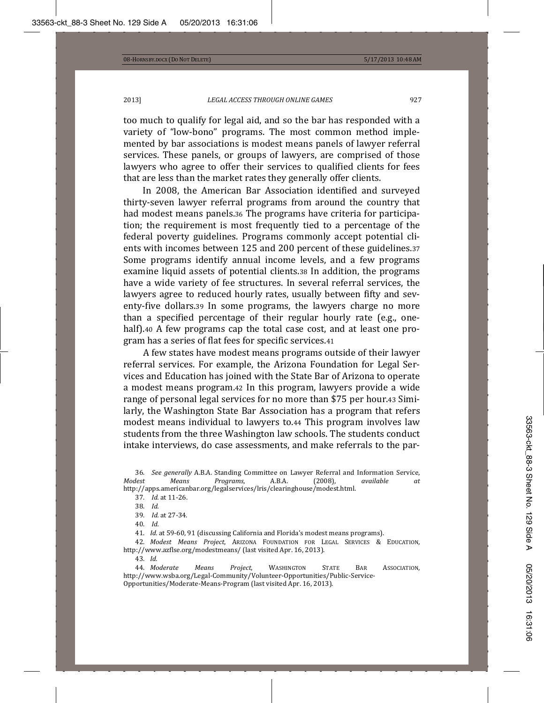too much to qualify for legal aid, and so the bar has responded with a variety of "low-bono" programs. The most common method implemented by bar associations is modest means panels of lawyer referral services. These panels, or groups of lawyers, are comprised of those lawyers who agree to offer their services to qualified clients for fees that are less than the market rates they generally offer clients.

In 2008, the American Bar Association identified and surveyed thirty-seven lawyer referral programs from around the country that had modest means panels.36 The programs have criteria for participation; the requirement is most frequently tied to a percentage of the federal poverty guidelines. Programs commonly accept potential clients with incomes between 125 and 200 percent of these guidelines.37 Some programs identify annual income levels, and a few programs examine liquid assets of potential clients.38 In addition, the programs have a wide variety of fee structures. In several referral services, the lawyers agree to reduced hourly rates, usually between fifty and seventy-five dollars.39 In some programs, the lawyers charge no more than a specified percentage of their regular hourly rate (e.g., onehalf).40 A few programs cap the total case cost, and at least one program has a series of flat fees for specific services.41

A few states have modest means programs outside of their lawyer referral services. For example, the Arizona Foundation for Legal Services and Education has joined with the State Bar of Arizona to operate a modest means program. 42 In this program, lawyers provide a wide range of personal legal services for no more than \$75 per hour.43 Similarly, the Washington State Bar Association has a program that refers modest means individual to lawyers to.44 This program involves law students from the three Washington law schools. The students conduct intake interviews, do case assessments, and make referrals to the par-

36. *See generally* A.B.A. Standing Committee on Lawyer Referral and Information Service, *Modest Modest Modest Modest Modest Modest Modest Modest Modest Modest Modest Modest Modest Modest Modes Modest Means Programs, A.B.A.* (2008), available at http://apps.americanbar.org/legalservices/lris/clearinghouse/modest.html.

37. *Id.* at 11-26.

39. *Id.* at 27-34.

40. *Id.* 

41. *Id.* at 59-60, 91 (discussing California and Florida's modest means programs).

42. *Modest Means Project,* Arizona Foundation for Legal Services & Education, http://www.azflse.org/modestmeans/ (last visited Apr. 16, 2013).

43. *Id.* 

44. Moderate Means Project, WASHINGTON STATE BAR ASSOCIATION, http://www.wsba.org/Legal-Community/Volunteer-Opportunities/Public-Service-Opportunities/Moderate-Means-Program (last visited Apr. 16, 2013).

<sup>38.</sup> *Id.*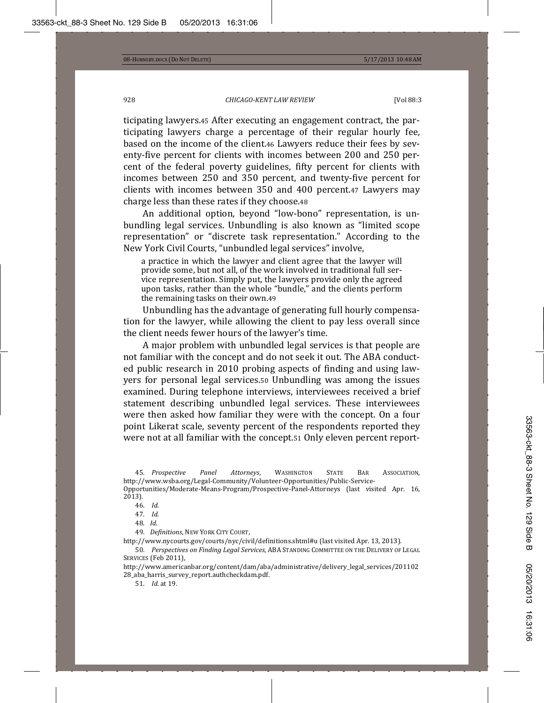ticipating lawyers.45 After executing an engagement contract, the participating lawyers charge a percentage of their regular hourly fee, based on the income of the client.46 Lawyers reduce their fees by seventy-five percent for clients with incomes between 200 and 250 percent of the federal poverty guidelines, fifty percent for clients with incomes between 250 and 350 percent, and twenty-five percent for clients with incomes between 350 and 400 percent.47 Lawyers may charge less than these rates if they choose.48

An additional option, beyond "low-bono" representation, is unbundling legal services. Unbundling is also known as "limited scope representation" or "discrete task representation." According to the New York Civil Courts, "unbundled legal services" involve,

a practice in which the lawyer and client agree that the lawyer will provide some, but not all, of the work involved in traditional full service representation. Simply put, the lawyers provide only the agreed upon tasks, rather than the whole "bundle," and the clients perform the remaining tasks on their own.49

Unbundling has the advantage of generating full hourly compensation for the lawyer, while allowing the client to pay less overall since the client needs fewer hours of the lawyer's time.

A major problem with unbundled legal services is that people are not familiar with the concept and do not seek it out. The ABA conducted public research in 2010 probing aspects of finding and using lawyers for personal legal services.50 Unbundling was among the issues examined. During telephone interviews, interviewees received a brief statement describing unbundled legal services. These interviewees were then asked how familiar they were with the concept. On a four point Likerat scale, seventy percent of the respondents reported they were not at all familiar with the concept.51 Only eleven percent report-

45. Prospective Panel Attorneys, WASHINGTON STATE BAR ASSOCIATION. http://www.wsba.org/Legal-Community/Volunteer-Opportunities/Public-Service-

Opportunities/Moderate-Means-Program/Prospective-Panel-Attorneys (last visited Apr. 16,  $2013$ ).

46. *Id.* 

47. *Id.* 

48. *Id.* 

49. Definitions, NEW YORK CITY COURT,

http://www.nycourts.gov/courts/nyc/civil/definitions.shtml#u (last visited Apr. 13, 2013).

50. Perspectives on Finding Legal Services, ABA STANDING COMMITTEE ON THE DELIVERY OF LEGAL SERVICES (Feb 2011),

http://www.americanbar.org/content/dam/aba/administrative/delivery\_legal\_services/201102 28\_aba\_harris\_survey\_report.authcheckdam.pdf.

51. *Id.* at 19.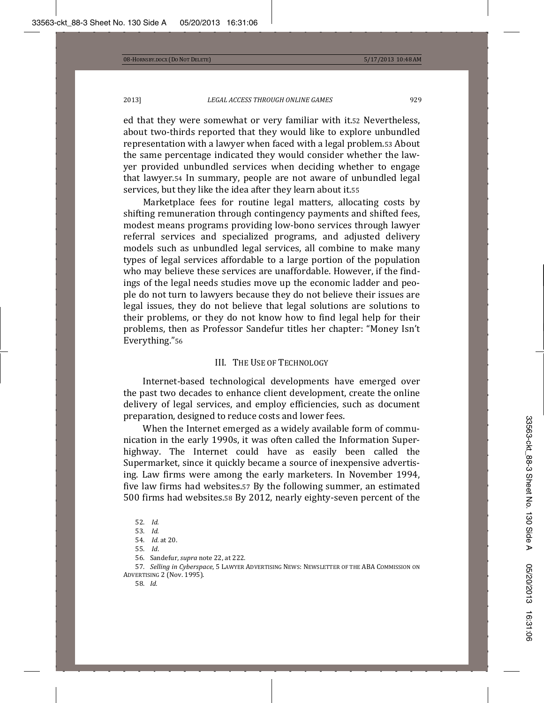ed that they were somewhat or very familiar with it.52 Nevertheless, about two-thirds reported that they would like to explore unbundled representation with a lawyer when faced with a legal problem.53 About the same percentage indicated they would consider whether the lawyer provided unbundled services when deciding whether to engage that lawyer.54 In summary, people are not aware of unbundled legal services, but they like the idea after they learn about it.55

Marketplace fees for routine legal matters, allocating costs by shifting remuneration through contingency payments and shifted fees, modest means programs providing low-bono services through lawyer referral services and specialized programs, and adjusted delivery models such as unbundled legal services, all combine to make many types of legal services affordable to a large portion of the population who may believe these services are unaffordable. However, if the findings of the legal needs studies move up the economic ladder and people do not turn to lawyers because they do not believe their issues are legal issues, they do not believe that legal solutions are solutions to their problems, or they do not know how to find legal help for their problems, then as Professor Sandefur titles her chapter: "Money Isn't Everything."56

# III. THE USE OF TECHNOLOGY

Internet-based technological developments have emerged over the past two decades to enhance client development, create the online delivery of legal services, and employ efficiencies, such as document preparation, designed to reduce costs and lower fees.

When the Internet emerged as a widely available form of communication in the early 1990s, it was often called the Information Superhighway. The Internet could have as easily been called the Supermarket, since it quickly became a source of inexpensive advertising. Law firms were among the early marketers. In November 1994, five law firms had websites.57 By the following summer, an estimated 500 firms had websites.58 By 2012, nearly eighty-seven percent of the

<sup>52.</sup> *Id.* 

<sup>53.</sup> *Id.* 

<sup>54.</sup> *Id.* at 20.

<sup>55.</sup> *Id.* 

<sup>56.</sup> Sandefur, *supra* note 22, at 222.

<sup>57.</sup> *Selling in Cyberspace,* 5 Lawyer Advertising News: Newsletter of the ABA Commission on ADVERTISING 2 (Nov. 1995).

<sup>58.</sup> *Id.*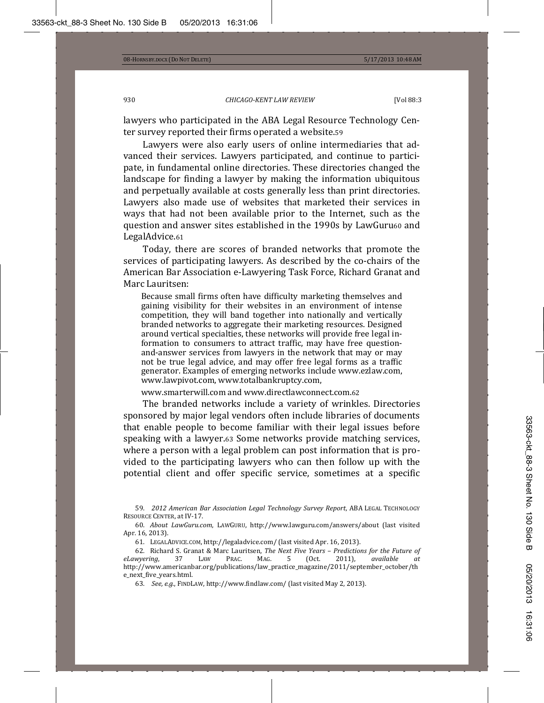lawyers who participated in the ABA Legal Resource Technology Center survey reported their firms operated a website.59

Lawyers were also early users of online intermediaries that advanced their services. Lawyers participated, and continue to participate, in fundamental online directories. These directories changed the landscape for finding a lawyer by making the information ubiquitous and perpetually available at costs generally less than print directories. Lawyers also made use of websites that marketed their services in ways that had not been available prior to the Internet, such as the question and answer sites established in the 1990s by LawGuru60 and LegalAdvice.61

Today, there are scores of branded networks that promote the services of participating lawyers. As described by the co-chairs of the American Bar Association e-Lawyering Task Force, Richard Granat and Marc Lauritsen:

Because small firms often have difficulty marketing themselves and gaining visibility for their websites in an environment of intense competition, they will band together into nationally and vertically branded networks to aggregate their marketing resources. Designed around vertical specialties, these networks will provide free legal information to consumers to attract traffic, may have free questionand-answer services from lawyers in the network that may or may not be true legal advice, and may offer free legal forms as a traffic generator. Examples of emerging networks include www.ezlaw.com, www.lawpivot.com, www.totalbankruptcy.com,

www.smarterwill.com and www.directlawconnect.com.62

The branded networks include a variety of wrinkles. Directories sponsored by major legal vendors often include libraries of documents that enable people to become familiar with their legal issues before speaking with a lawyer.63 Some networks provide matching services, where a person with a legal problem can post information that is provided to the participating lawyers who can then follow up with the potential client and offer specific service, sometimes at a specific

59. 2012 American Bar Association Legal Technology Survey Report, ABA LEGAL TECHNOLOGY RESOURCE CENTER, at IV-17.

60. About LawGuru.com, LAWGURU, http://www.lawguru.com/answers/about (last visited Apr. 16, 2013).

61. LEGALADVICE.COM, http://legaladvice.com/ (last visited Apr. 16, 2013).

 ʹǤ Ǥ Ƭ ǡ*The Next Five Years – Predictions for the Future of eLawyering*, 37 LAW PRAC. MAG. 5 (Oct. 2011), available at http://www.americanbar.org/publications/law\_practice\_magazine/2011/september\_october/th e\_next\_five\_years.html.

63. See, e.g., FINDLAW, http://www.findlaw.com/ (last visited May 2, 2013).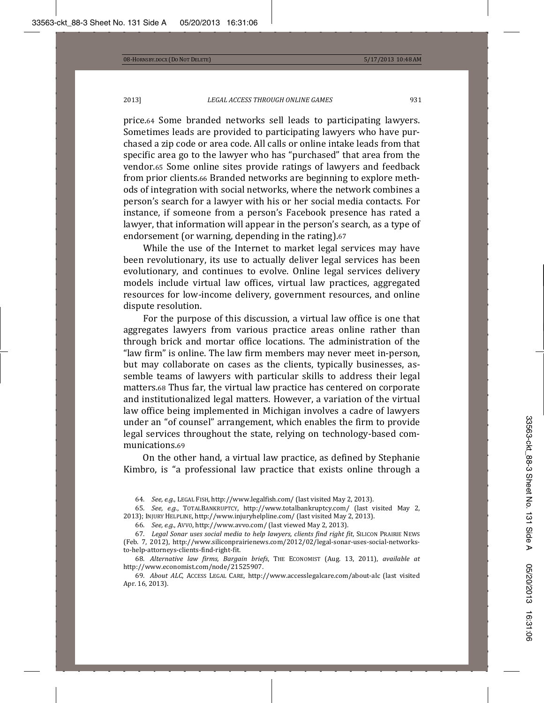price.64 Some branded networks sell leads to participating lawyers. Sometimes leads are provided to participating lawyers who have purchased a zip code or area code. All calls or online intake leads from that specific area go to the lawyer who has "purchased" that area from the vendor.65 Some online sites provide ratings of lawyers and feedback from prior clients.66 Branded networks are beginning to explore methods of integration with social networks, where the network combines a person's search for a lawyer with his or her social media contacts. For instance, if someone from a person's Facebook presence has rated a lawyer, that information will appear in the person's search, as a type of endorsement (or warning, depending in the rating).67

While the use of the Internet to market legal services may have been revolutionary, its use to actually deliver legal services has been evolutionary, and continues to evolve. Online legal services delivery models include virtual law offices, virtual law practices, aggregated resources for low-income delivery, government resources, and online dispute resolution.

For the purpose of this discussion, a virtual law office is one that aggregates lawyers from various practice areas online rather than through brick and mortar office locations. The administration of the "law firm" is online. The law firm members may never meet in-person, but may collaborate on cases as the clients, typically businesses, assemble teams of lawyers with particular skills to address their legal matters.68 Thus far, the virtual law practice has centered on corporate and institutionalized legal matters. However, a variation of the virtual law office being implemented in Michigan involves a cadre of lawyers under an "of counsel" arrangement, which enables the firm to provide legal services throughout the state, relying on technology-based communications.69

On the other hand, a virtual law practice, as defined by Stephanie Kimbro, is "a professional law practice that exists online through a

64. See, e.g., LEGAL FISH, http://www.legalfish.com/ (last visited May 2, 2013).

65. See, e.g., TOTALBANKRUPTCY, http://www.totalbankruptcy.com/ (last visited May 2, 2013); INJURY HELPLINE, http://www.injuryhelpline.com/ (last visited May 2, 2013).

66. *See, e.g.*, Avvo, http://www.avvo.com/ (last viewed May 2, 2013).

 Ǥ *Legal Sonar uses social media to help lawyers, clients find right fit*ǡ (Feb. 7, 2012), http://www.siliconprairienews.com/2012/02/legal-sonar-uses-social-networksto-help-attorneys-clients-find-right-fit.

68. Alternative law firms, Bargain briefs, THE ECONOMIST (Aug. 13, 2011), available at http://www.economist.com/node/21525907.

69. About ALC, Access Legal Care, http://www.accesslegalcare.com/about-alc (last visited Apr. 16, 2013).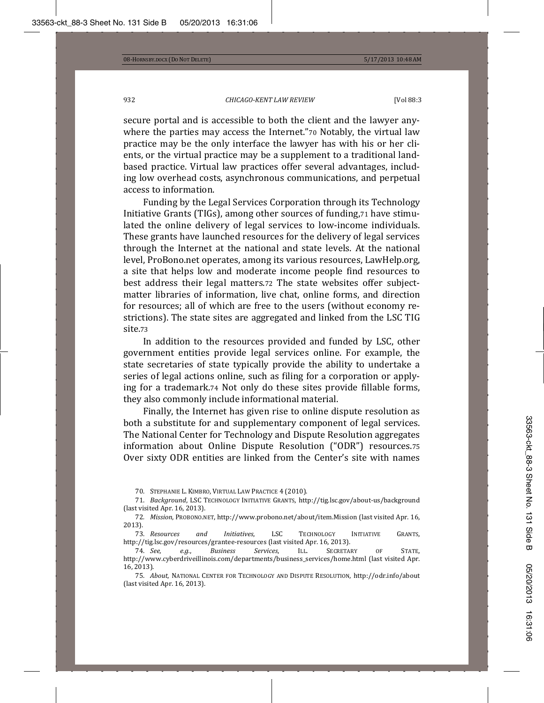secure portal and is accessible to both the client and the lawyer anywhere the parties may access the Internet."70 Notably, the virtual law practice may be the only interface the lawyer has with his or her clients, or the virtual practice may be a supplement to a traditional landbased practice. Virtual law practices offer several advantages, including low overhead costs, asynchronous communications, and perpetual access to information.

Funding by the Legal Services Corporation through its Technology Initiative Grants (TIGs), among other sources of funding,71 have stimulated the online delivery of legal services to low-income individuals. These grants have launched resources for the delivery of legal services through the Internet at the national and state levels. At the national level, ProBono.net operates, among its various resources, LawHelp.org, a site that helps low and moderate income people find resources to best address their legal matters.72 The state websites offer subjectmatter libraries of information, live chat, online forms, and direction for resources; all of which are free to the users (without economy restrictions). The state sites are aggregated and linked from the LSC TIG site.73

In addition to the resources provided and funded by LSC, other government entities provide legal services online. For example, the state secretaries of state typically provide the ability to undertake a series of legal actions online, such as filing for a corporation or applying for a trademark.74 Not only do these sites provide fillable forms, they also commonly include informational material.

Finally, the Internet has given rise to online dispute resolution as both a substitute for and supplementary component of legal services. The National Center for Technology and Dispute Resolution aggregates information about Online Dispute Resolution ("ODR") resources.75 Over sixty ODR entities are linked from the Center's site with names

<sup>70.</sup> STEPHANIE L. KIMBRO, VIRTUAL LAW PRACTICE 4 (2010).

<sup>71.</sup> *Background,* LSC TECHNOLOGY INITIATIVE GRANTS, http://tig.lsc.gov/about-us/background (last visited Apr. 16, 2013).

<sup>72.</sup> *Mission*, PROBONO.NET, http://www.probono.net/about/item.Mission (last visited Apr. 16,  $2013$ ).

<sup>73.</sup> Resources and Initiatives, LSC TECHNOLOGY **INITIATIVE** GRANTS, http://tig.lsc.gov/resources/grantee-resources (last visited Apr. 16, 2013).<br>74. See. e.g.. Business Services. ILL. SECRETARY

<sup>74.</sup> See, e.g., Business Services, ILL. SECRETARY OF STATE, http://www.cyberdriveillinois.com/departments/business\_services/home.html (last visited Apr.  $16, 2013$ ).

<sup>75.</sup> *About*, National Center for Technology and Dispute Resolution, http://odr.info/about (last visited Apr. 16, 2013).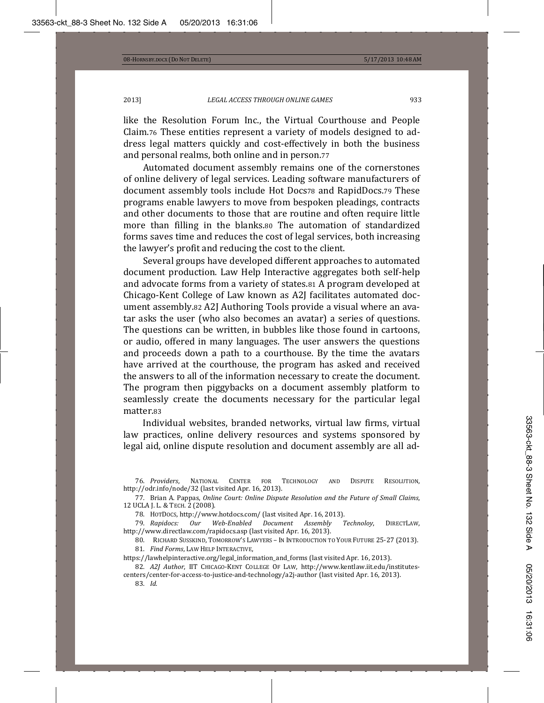like the Resolution Forum Inc., the Virtual Courthouse and People Claim.76 These entities represent a variety of models designed to address legal matters quickly and cost-effectively in both the business and personal realms, both online and in person.77

Automated document assembly remains one of the cornerstones of online delivery of legal services. Leading software manufacturers of document assembly tools include Hot Docs78 and RapidDocs.79 These programs enable lawyers to move from bespoken pleadings, contracts and other documents to those that are routine and often require little more than filling in the blanks.80 The automation of standardized forms saves time and reduces the cost of legal services, both increasing the lawyer's profit and reducing the cost to the client.

Several groups have developed different approaches to automated document production. Law Help Interactive aggregates both self-help and advocate forms from a variety of states.81 A program developed at Chicago-Kent College of Law known as A2J facilitates automated document assembly.82 A2J Authoring Tools provide a visual where an avatar asks the user (who also becomes an avatar) a series of questions. The questions can be written, in bubbles like those found in cartoons, or audio, offered in many languages. The user answers the questions and proceeds down a path to a courthouse. By the time the avatars have arrived at the courthouse, the program has asked and received the answers to all of the information necessary to create the document. The program then piggybacks on a document assembly platform to seamlessly create the documents necessary for the particular legal matter.83

Individual websites, branded networks, virtual law firms, virtual law practices, online delivery resources and systems sponsored by legal aid, online dispute resolution and document assembly are all ad-

83. *Id.* 

<sup>76.</sup> Providers, NATIONAL CENTER FOR TECHNOLOGY AND DISPUTE RESOLUTION, http://odr.info/node/32 (last visited Apr. 16, 2013).

Ǥ Ǥǡ*Online Court: Online Dispute Resolution and the Future of Small Claims*ǡ 12 UCLA J. L. & TECH. 2 (2008).

<sup>78.</sup> H0TD0CS, http://www.hotdocs.com/ (last visited Apr. 16, 2013).<br>79. Rapidocs: Our Web-Enabled Document Assembly Technoloy,

*Web-Enabled Document Assembly Technoloy*, DIRECTLAW, http://www.directlaw.com/rapidocs.asp (last visited Apr. 16, 2013).

<sup>80.</sup> RICHARD SUSSKIND, TOMORROW'S LAWYERS - IN INTRODUCTION TO YOUR FUTURE 25-27 (2013). 81. Find Forms, LAW HELP INTERACTIVE.

https://lawhelpinteractive.org/legal\_information\_and\_forms (last visited Apr. 16, 2013).

<sup>82.</sup> *A2J Author*, IIT CHICAGO-KENT COLLEGE OF LAW, http://www.kentlaw.iit.edu/institutescenters/center-for-access-to-justice-and-technology/a2j-author (last visited Apr. 16, 2013).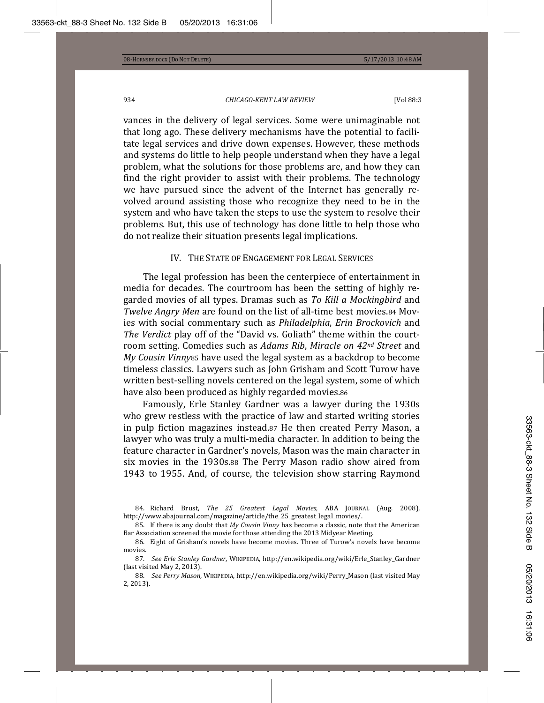vances in the delivery of legal services. Some were unimaginable not that long ago. These delivery mechanisms have the potential to facilitate legal services and drive down expenses. However, these methods and systems do little to help people understand when they have a legal problem, what the solutions for those problems are, and how they can find the right provider to assist with their problems. The technology we have pursued since the advent of the Internet has generally revolved around assisting those who recognize they need to be in the system and who have taken the steps to use the system to resolve their problems. But, this use of technology has done little to help those who do not realize their situation presents legal implications.

# IV. THE STATE OF ENGAGEMENT FOR LEGAL SERVICES

The legal profession has been the centerpiece of entertainment in media for decades. The courtroom has been the setting of highly regarded movies of all types. Dramas such as To Kill a Mockingbird and *Twelve Angry Men* are found on the list of all-time best movies.84 Mov- *Philadelphia*ǡ*Erin Brockovich* The Verdict play off of the "David vs. Goliath" theme within the courtroom setting. Comedies such as Adams Rib, Miracle on  $42^{nd}$  Street and *My Cousin Vinny* 85 have used the legal system as a backdrop to become timeless classics. Lawyers such as John Grisham and Scott Turow have written best-selling novels centered on the legal system, some of which have also been produced as highly regarded movies.86

Famously, Erle Stanley Gardner was a lawyer during the 1930s who grew restless with the practice of law and started writing stories in pulp fiction magazines instead. 87 He then created Perry Mason, a lawyer who was truly a multi-media character. In addition to being the feature character in Gardner's novels, Mason was the main character in six movies in the 1930s.88 The Perry Mason radio show aired from 1943 to 1955. And, of course, the television show starring Raymond

84. Richard Brust, The 25 Greatest Legal Movies, ABA JOURNAL (Aug. 2008), http://www.abajournal.com/magazine/article/the\_25\_greatest\_legal\_movies/.

85. If there is any doubt that My Cousin Vinny has become a classic, note that the American Bar Association screened the movie for those attending the 2013 Midyear Meeting.

86. Eight of Grisham's novels have become movies. Three of Turow's novels have become movies.

87. *See Erle Stanley Gardner,* WIKIPEDIA, http://en.wikipedia.org/wiki/Erle\_Stanley\_Gardner (last visited May 2, 2013).

88. See Perry Mason, WIKIPEDIA, http://en.wikipedia.org/wiki/Perry\_Mason (last visited May  $2, 2013$ ).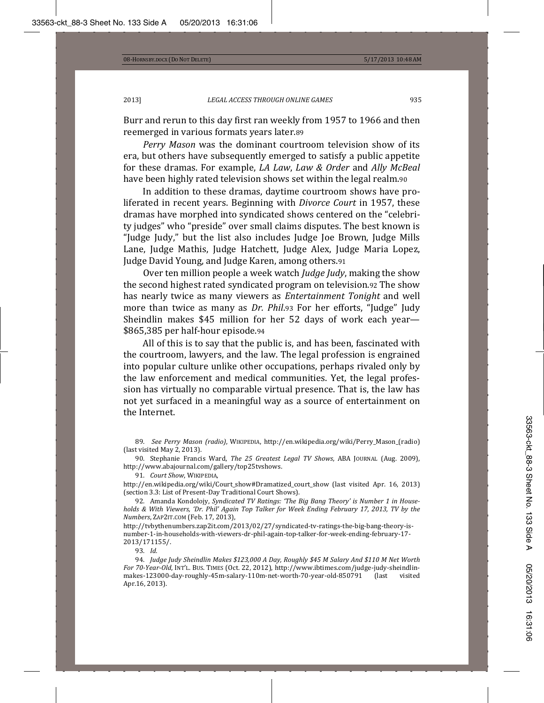Burr and rerun to this day first ran weekly from 1957 to 1966 and then reemerged in various formats years later.89

*Perry Mason* era, but others have subsequently emerged to satisfy a public appetite for these dramas. For example, LA Law, Law & Order and Ally McBeal have been highly rated television shows set within the legal realm.90

In addition to these dramas, daytime courtroom shows have proliferated in recent years. Beginning with *Divorce Court* in 1957, these dramas have morphed into syndicated shows centered on the "celebrity judges" who "preside" over small claims disputes. The best known is "Judge Judy," but the list also includes Judge Joe Brown, Judge Mills Lane, Judge Mathis, Judge Hatchett, Judge Alex, Judge Maria Lopez, Judge David Young, and Judge Karen, among others.91

Over ten million people a week watch *Judge Judy*, making the show the second highest rated syndicated program on television.92 The show has nearly twice as many viewers as *Entertainment Tonight* and well *more than twice as many as Dr. Phil.*93 For her efforts, "Judge" Judy Sheindlin makes \$45 million for her 52 days of work each year- $$865,385$  per half-hour episode.94

All of this is to say that the public is, and has been, fascinated with the courtroom, lawyers, and the law. The legal profession is engrained into popular culture unlike other occupations, perhaps rivaled only by the law enforcement and medical communities. Yet, the legal profession has virtually no comparable virtual presence. That is, the law has not yet surfaced in a meaningful way as a source of entertainment on the Internet.

89. See Perry Mason (radio), WIKIPEDIA, http://en.wikipedia.org/wiki/Perry\_Mason\_(radio) (last visited May 2, 2013).

90. Stephanie Francis Ward, The 25 Greatest Legal TV Shows, ABA JOURNAL (Aug. 2009), http://www.abajournal.com/gallery/top25tvshows.

91. Court Show, WIKIPEDIA,

http://en.wikipedia.org/wiki/Court\_show#Dramatized\_court\_show (last visited Apr. 16, 2013) (section 3.3: List of Present-Day Traditional Court Shows).

92. Amanda Kondolojy, Syndicated TV Ratings: 'The Big Bang Theory' is Number 1 in House*holds & With Viewers, 'Dr. Phil' Again Top Talker for Week Ending February 17, 2013, TV by the Numbers*, **ZAP2IT.COM** (Feb. 17, 2013),

http://tvbythenumbers.zap2it.com/2013/02/27/syndicated-tv-ratings-the-big-bang-theory-isnumber-1-in-households-with-viewers-dr-phil-again-top-talker-for-week-ending-february-17- $2013/171155/$ .

93. *Id.* 

 ͻͶǤ *Judge Judy Sheindlin Makes \$123,000 A Day, Roughly \$45 M Salary And \$110 M Net Worth For 70-Year-Old*, INT'L. BUS. TIMES (Oct. 22, 2012), http://www.ibtimes.com/judge-judy-sheindlinmakes-123000-day-roughly-45m-salary-110m-net-worth-70-year-old-850791 (last visited Apr.16, 2013).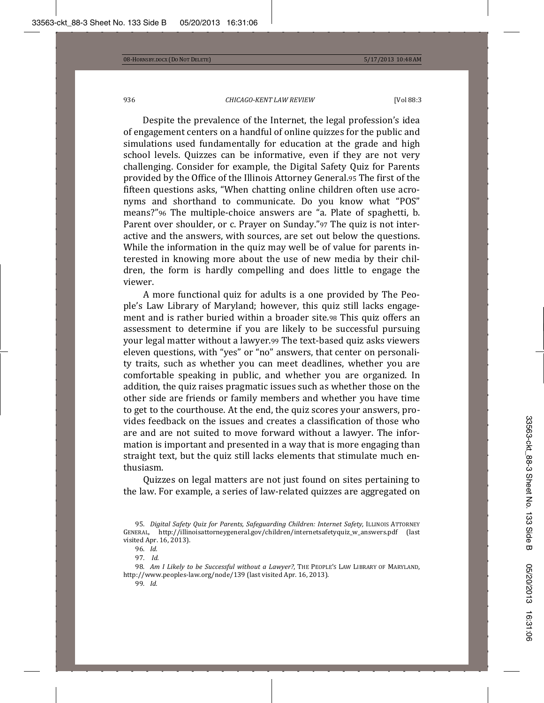Despite the prevalence of the Internet, the legal profession's idea of engagement centers on a handful of online quizzes for the public and simulations used fundamentally for education at the grade and high school levels. Quizzes can be informative, even if they are not very challenging. Consider for example, the Digital Safety Quiz for Parents provided by the Office of the Illinois Attorney General.95 The first of the fifteen questions asks, "When chatting online children often use acronyms and shorthand to communicate. Do you know what "POS" means?"<sup>96</sup> The multiple-choice answers are "a. Plate of spaghetti, b. Parent over shoulder, or c. Prayer on Sunday."97 The quiz is not interactive and the answers, with sources, are set out below the questions. While the information in the quiz may well be of value for parents interested in knowing more about the use of new media by their children, the form is hardly compelling and does little to engage the viewer.

A more functional quiz for adults is a one provided by The People's Law Library of Maryland; however, this quiz still lacks engagement and is rather buried within a broader site.98 This quiz offers an assessment to determine if you are likely to be successful pursuing your legal matter without a lawyer.99 The text-based quiz asks viewers eleven questions, with "yes" or "no" answers, that center on personality traits, such as whether you can meet deadlines, whether you are comfortable speaking in public, and whether you are organized. In addition, the quiz raises pragmatic issues such as whether those on the other side are friends or family members and whether you have time to get to the courthouse. At the end, the quiz scores your answers, provides feedback on the issues and creates a classification of those who are and are not suited to move forward without a lawyer. The information is important and presented in a way that is more engaging than straight text, but the quiz still lacks elements that stimulate much enthusiasm.

Quizzes on legal matters are not just found on sites pertaining to the law. For example, a series of law-related quizzes are aggregated on

98. Am *I* Likely to be Successful without a Lawyer?, THE PEOPLE'S LAW LIBRARY OF MARYLAND, http://www.peoples-law.org/node/139 (last visited Apr. 16, 2013).

99. *Id.* 

 $95.$  *Digital Safety Quiz for Parents, Safeguarding Children: Internet Safety, ILLINOIS ATTORNEY* GENERAL, http://illinoisattorneygeneral.gov/children/internetsafetyquiz\_w\_answers.pdf (last visited Apr. 16, 2013).

<sup>96.</sup> *Id.* 

<sup>97.</sup> *Id.*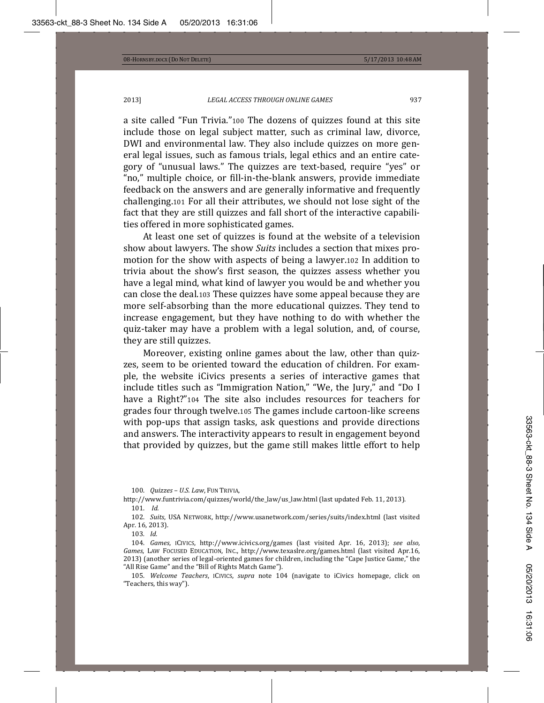a site called "Fun Trivia." 100 The dozens of quizzes found at this site include those on legal subject matter, such as criminal law, divorce, DWI and environmental law. They also include quizzes on more general legal issues, such as famous trials, legal ethics and an entire category of "unusual laws." The quizzes are text-based, require "yes" or "no," multiple choice, or fill-in-the-blank answers, provide immediate feedback on the answers and are generally informative and frequently challenging.101 For all their attributes, we should not lose sight of the fact that they are still quizzes and fall short of the interactive capabilities offered in more sophisticated games.

At least one set of quizzes is found at the website of a television show about lawyers. The show Suits includes a section that mixes promotion for the show with aspects of being a lawyer.102 In addition to trivia about the show's first season, the quizzes assess whether you have a legal mind, what kind of lawyer you would be and whether you can close the deal.103 These quizzes have some appeal because they are more self-absorbing than the more educational quizzes. They tend to increase engagement, but they have nothing to do with whether the quiz-taker may have a problem with a legal solution, and, of course, they are still quizzes.

Moreover, existing online games about the law, other than quizzes, seem to be oriented toward the education of children. For example, the website iCivics presents a series of interactive games that include titles such as "Immigration Nation," "We, the Jury," and "Do I have a Right?"104 The site also includes resources for teachers for grades four through twelve.105 The games include cartoon-like screens with pop-ups that assign tasks, ask questions and provide directions and answers. The interactivity appears to result in engagement beyond that provided by quizzes, but the game still makes little effort to help

100. *Quizzes - U.S. Law*, FUN TRIVIA,

http://www.funtrivia.com/quizzes/world/the\_law/us\_law.html (last updated Feb. 11, 2013). **101.** *Id.* 

102. Suits, USA NETWORK, http://www.usanetwork.com/series/suits/index.html (last visited Apr. 16, 2013).

**103.** *Id.* 

104. Games, ICIVICS, http://www.icivics.org/games (last visited Apr. 16, 2013); see also, Games, LAW FOCUSED EDUCATION, INC., http://www.texaslre.org/games.html (last visited Apr.16, 2013) (another series of legal-oriented games for children, including the "Cape Justice Game," the "All Rise Game" and the "Bill of Rights Match Game").

105. Welcome Teachers, ICIVICS, supra note 104 (navigate to iCivics homepage, click on "Teachers, this way").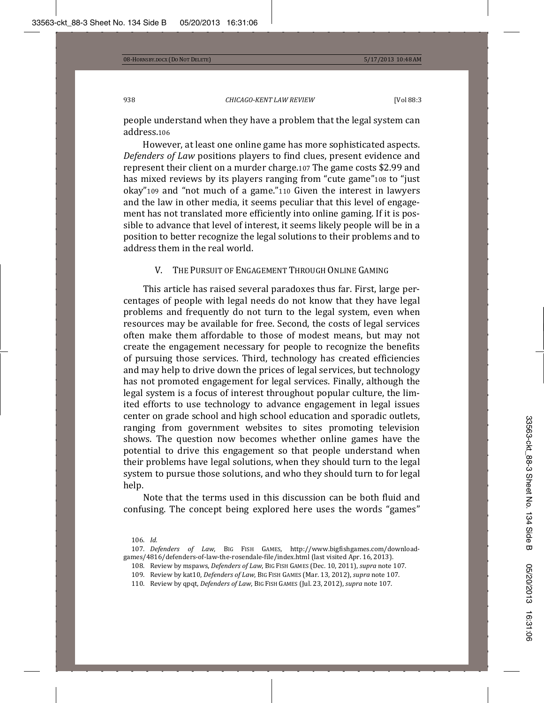people understand when they have a problem that the legal system can address.106

However, at least one online game has more sophisticated aspects. *Defenders of Law* positions players to find clues, present evidence and represent their client on a murder charge.107 The game costs \$2.99 and has mixed reviews by its players ranging from "cute game"108 to "just okay"109 and "not much of a game."110 Given the interest in lawyers and the law in other media, it seems peculiar that this level of engagement has not translated more efficiently into online gaming. If it is possible to advance that level of interest, it seems likely people will be in a position to better recognize the legal solutions to their problems and to address them in the real world.

# V. THE PURSUIT OF ENGAGEMENT THROUGH ONLINE GAMING

This article has raised several paradoxes thus far. First, large percentages of people with legal needs do not know that they have legal problems and frequently do not turn to the legal system, even when resources may be available for free. Second, the costs of legal services often make them affordable to those of modest means, but may not create the engagement necessary for people to recognize the benefits of pursuing those services. Third, technology has created efficiencies and may help to drive down the prices of legal services, but technology has not promoted engagement for legal services. Finally, although the legal system is a focus of interest throughout popular culture, the limited efforts to use technology to advance engagement in legal issues center on grade school and high school education and sporadic outlets, ranging from government websites to sites promoting television shows. The question now becomes whether online games have the potential to drive this engagement so that people understand when their problems have legal solutions, when they should turn to the legal system to pursue those solutions, and who they should turn to for legal help.

Note that the terms used in this discussion can be both fluid and confusing. The concept being explored here uses the words "games"

110. Review by qpqt, Defenders of Law, BIG FISH GAMES (Jul. 23, 2012), supra note 107.

<sup>106.</sup> *Id.* 

<sup>107.</sup> Defenders of Law, BIG FISH GAMES, http://www.bigfishgames.com/downloadgames/4816/defenders-of-law-the-rosendale-file/index.html (last visited Apr. 16, 2013).

<sup>108.</sup> Review by mspaws, Defenders of Law, BIG FISH GAMES (Dec. 10, 2011), supra note 107.

<sup>109.</sup> Review by kat10, *Defenders of Law*, BIG FISH GAMES (Mar. 13, 2012), *supra* note 107.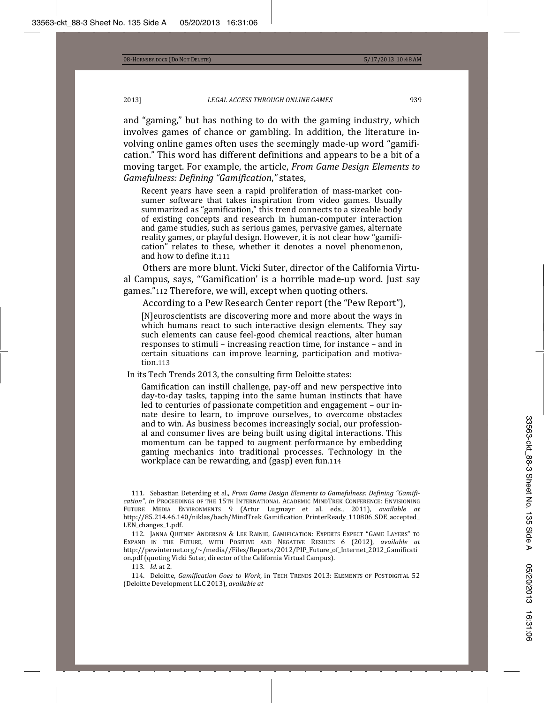and "gaming," but has nothing to do with the gaming industry, which involves games of chance or gambling. In addition, the literature involving online games often uses the seemingly made-up word "gamification." This word has different definitions and appears to be a bit of a moving target. For example, the article, *From Game Design Elements to Gamefulness: Defining "Gamification*ǡ*"*ǡ

Recent years have seen a rapid proliferation of mass-market consumer software that takes inspiration from video games. Usually summarized as "gamification," this trend connects to a sizeable body of existing concepts and research in human-computer interaction and game studies, such as serious games, pervasive games, alternate reality games, or playful design. However, it is not clear how "gamification" relates to these, whether it denotes a novel phenomenon, and how to define it.111

Others are more blunt. Vicki Suter, director of the California Virtual Campus, says, "'Gamification' is a horrible made-up word. Just say games."112 Therefore, we will, except when quoting others.

According to a Pew Research Center report (the "Pew Report").

[N]euroscientists are discovering more and more about the ways in which humans react to such interactive design elements. They say such elements can cause feel-good chemical reactions, alter human responses to stimuli – increasing reaction time, for instance – and in certain situations can improve learning, participation and motivation.113

In its Tech Trends 2013, the consulting firm Deloitte states:

Gamification can instill challenge, pay-off and new perspective into day-to-day tasks, tapping into the same human instincts that have led to centuries of passionate competition and engagement – our innate desire to learn, to improve ourselves, to overcome obstacles and to win. As business becomes increasingly social, our professional and consumer lives are being built using digital interactions. This momentum can be tapped to augment performance by embedding gaming mechanics into traditional processes. Technology in the workplace can be rewarding, and (gasp) even fun.114

111. Sebastian Deterding et al., From Game Design Elements to Gamefulness: Defining "Gamification", in Proceedings of the 15th International Academic MindTrek Conference: Envisioning FUTURE MEDIA ENVIRONMENTS 9 (Artur Lugmayr et al. eds., 2011), available at http://85.214.46.140/niklas/bach/MindTrek\_Gamification\_PrinterReady\_110806\_SDE\_accepted\_ LEN changes 1.pdf.

112. JANNA QUITNEY ANDERSON & LEE RAINIE, GAMIFICATION: EXPERTS EXPECT "GAME LAYERS" TO Expand in the Future, with Positive and Negative Results 6 (2012)*, available at* http://pewinternet.org/~/media//Files/Reports/2012/PIP\_Future\_of\_Internet\_2012\_Gamificati on.pdf (quoting Vicki Suter, director of the California Virtual Campus).

113. *Id.* at 2.

114. Deloitte, *Gamification Goes to Work*, in TECH TRENDS 2013: ELEMENTS OF POSTDIGITAL 52 (Deloitte Development LLC 2013), available at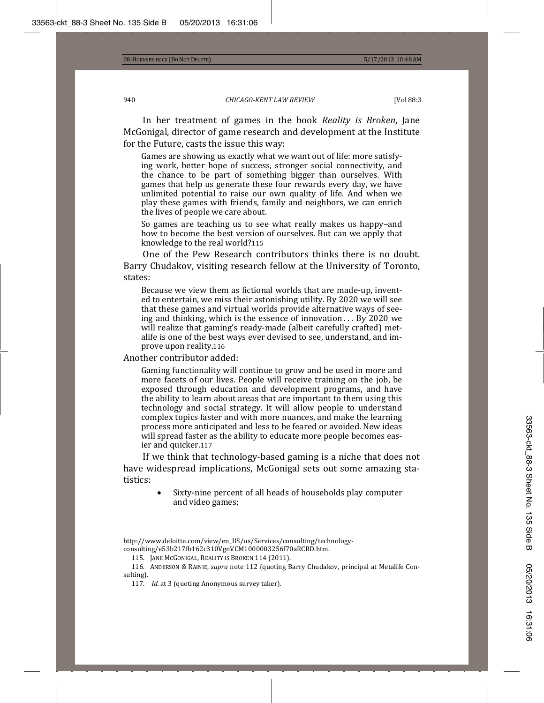In her treatment of games in the book *Reality is Broken*, Jane McGonigal, director of game research and development at the Institute for the Future, casts the issue this way:

Games are showing us exactly what we want out of life: more satisfying work, better hope of success, stronger social connectivity, and the chance to be part of something bigger than ourselves. With games that help us generate these four rewards every day, we have unlimited potential to raise our own quality of life. And when we play these games with friends, family and neighbors, we can enrich the lives of people we care about.

So games are teaching us to see what really makes us happy-and how to become the best version of ourselves. But can we apply that knowledge to the real world?115

One of the Pew Research contributors thinks there is no doubt. Barry Chudakov, visiting research fellow at the University of Toronto. states:

Because we view them as fictional worlds that are made-up, invented to entertain, we miss their astonishing utility. By 2020 we will see that these games and virtual worlds provide alternative ways of seeing and thinking, which is the essence of innovation . . . By 2020 we will realize that gaming's ready-made (albeit carefully crafted) metalife is one of the best ways ever devised to see, understand, and improve upon reality.116

Another contributor added:

Gaming functionality will continue to grow and be used in more and more facets of our lives. People will receive training on the job, be exposed through education and development programs, and have the ability to learn about areas that are important to them using this technology and social strategy. It will allow people to understand complex topics faster and with more nuances, and make the learning process more anticipated and less to be feared or avoided. New ideas will spread faster as the ability to educate more people becomes easier and quicker.117

If we think that technology-based gaming is a niche that does not have widespread implications, McGonigal sets out some amazing statistics:

> Sixty-nine percent of all heads of households play computer and video games;

115. JANE MCGONIGAL, REALITY IS BROKEN 114 (2011).

116. ANDERSON & RAINIE, *supra* note 112 (quoting Barry Chudakov, principal at Metalife Consulting).

117. *Id.* at 3 (quoting Anonymous survey taker).

http://www.deloitte.com/view/en\_US/us/Services/consulting/technologyconsulting/e53b217fb162c310VgnVCM1000003256f70aRCRD.htm.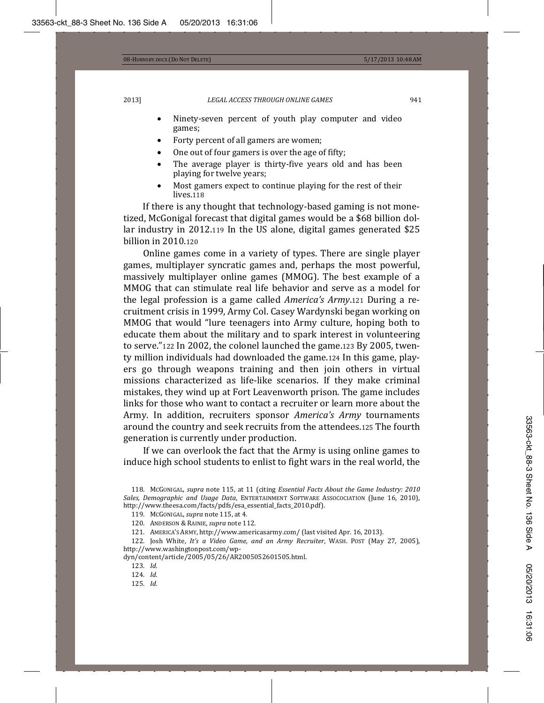- Ninety-seven percent of youth play computer and video games;
- Forty percent of all gamers are women;
- One out of four gamers is over the age of fifty;
- The average player is thirty-five years old and has been playing for twelve years;
- Most gamers expect to continue playing for the rest of their lives.118

If there is any thought that technology-based gaming is not monetized, McGonigal forecast that digital games would be a \$68 billion dollar industry in 2012.119 In the US alone, digital games generated \$25 billion in  $2010.120$ 

Online games come in a variety of types. There are single player games, multiplayer syncratic games and, perhaps the most powerful, massively multiplayer online games (MMOG). The best example of a MMOG that can stimulate real life behavior and serve as a model for *Algee He legal profession is a game called <i>America's Army*, 121 During a recruitment crisis in 1999, Army Col. Casey Wardynski began working on MMOG that would "lure teenagers into Army culture, hoping both to educate them about the military and to spark interest in volunteering to serve."122 In 2002, the colonel launched the game.123 By 2005, twenty million individuals had downloaded the game.124 In this game, players go through weapons training and then join others in virtual missions characterized as life-like scenarios. If they make criminal mistakes, they wind up at Fort Leavenworth prison. The game includes links for those who want to contact a recruiter or learn more about the Army. In addition, recruiters sponsor America's Army tournaments around the country and seek recruits from the attendees.125 The fourth generation is currently under production.

If we can overlook the fact that the Army is using online games to induce high school students to enlist to fight wars in the real world, the

- 120. ANDERSON & RAINIE, supra note 112.
- 121. AMERICA'S ARMY, http://www.americasarmy.com/ (last visited Apr. 16, 2013).

122. Josh White, It's a Video Game, and an Army Recruiter, WASH. POST (May 27, 2005), http://www.washingtonpost.com/wp-

dyn/content/article/2005/05/26/AR2005052601505.html.

123. *Id.* 

124. *Id.* 

 $125.$  *Id.* 

<sup>118.</sup> McGoNIGAL, supra note 115, at 11 (citing *Essential Facts About the Game Industry: 2010 Sales, Demographic and Usage Data,* ENTERTAINMENT SOFTWARE ASSOCOCIATION (June 16, 2010), http://www.theesa.com/facts/pdfs/esa\_essential\_facts\_2010.pdf).

<sup>119.</sup> McGonigal, *supra* note 115, at 4.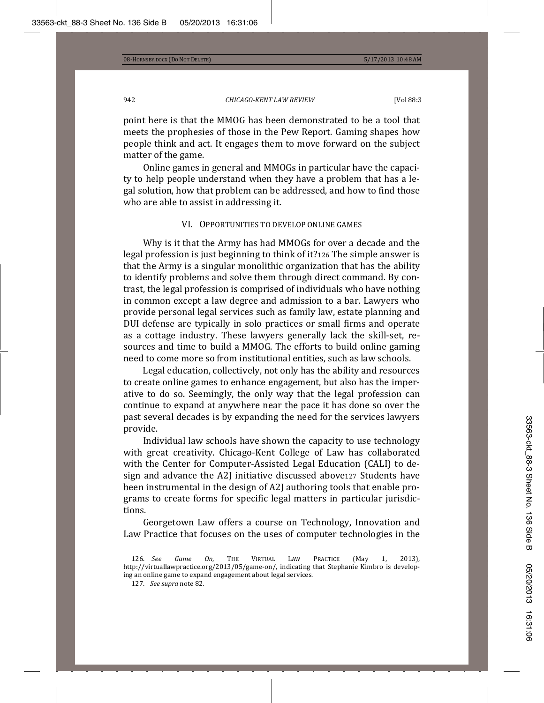point here is that the MMOG has been demonstrated to be a tool that meets the prophesies of those in the Pew Report. Gaming shapes how people think and act. It engages them to move forward on the subject matter of the game.

Online games in general and MMOGs in particular have the capacity to help people understand when they have a problem that has a legal solution, how that problem can be addressed, and how to find those who are able to assist in addressing it.

### VI. OPPORTUNITIES TO DEVELOP ONLINE GAMES

Why is it that the Army has had MMOGs for over a decade and the legal profession is just beginning to think of it?126 The simple answer is that the Army is a singular monolithic organization that has the ability to identify problems and solve them through direct command. By contrast, the legal profession is comprised of individuals who have nothing in common except a law degree and admission to a bar. Lawyers who provide personal legal services such as family law, estate planning and DUI defense are typically in solo practices or small firms and operate as a cottage industry. These lawyers generally lack the skill-set, resources and time to build a MMOG. The efforts to build online gaming need to come more so from institutional entities, such as law schools.

Legal education, collectively, not only has the ability and resources to create online games to enhance engagement, but also has the imperative to do so. Seemingly, the only way that the legal profession can continue to expand at anywhere near the pace it has done so over the past several decades is by expanding the need for the services lawyers provide.

Individual law schools have shown the capacity to use technology with great creativity. Chicago-Kent College of Law has collaborated with the Center for Computer-Assisted Legal Education (CALI) to design and advance the A2J initiative discussed above127 Students have been instrumental in the design of A2J authoring tools that enable programs to create forms for specific legal matters in particular jurisdictions.

Georgetown Law offers a course on Technology, Innovation and Law Practice that focuses on the uses of computer technologies in the

<sup>126.</sup> *See Game On*, THE VIRTUAL LAW PRACTICE (May 1, 2013), http://virtuallawpractice.org/2013/05/game-on/, indicating that Stephanie Kimbro is developing an online game to expand engagement about legal services.

<sup>127.</sup> See supra note 82.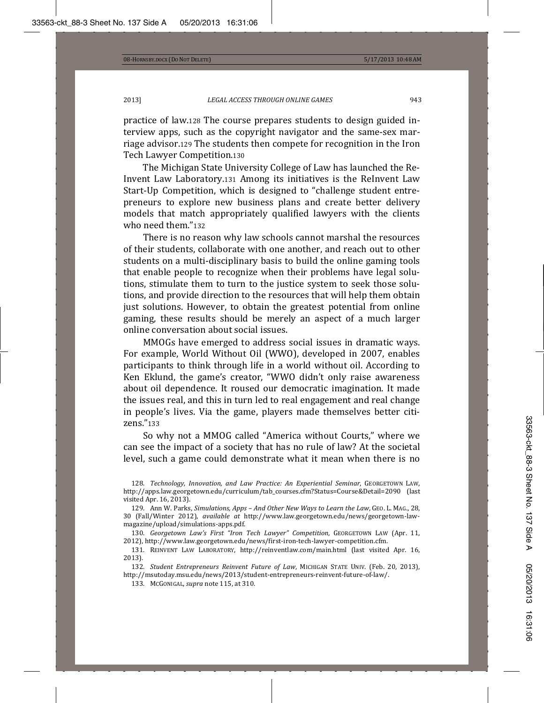practice of law.128 The course prepares students to design guided interview apps, such as the copyright navigator and the same-sex marriage advisor.129 The students then compete for recognition in the Iron Tech Lawyer Competition.130

The Michigan State University College of Law has launched the Re-Invent Law Laboratory.131 Among its initiatives is the ReInvent Law Start-Up Competition, which is designed to "challenge student entrepreneurs to explore new business plans and create better delivery models that match appropriately qualified lawyers with the clients who need them."132

There is no reason why law schools cannot marshal the resources of their students, collaborate with one another, and reach out to other students on a multi-disciplinary basis to build the online gaming tools that enable people to recognize when their problems have legal solutions, stimulate them to turn to the justice system to seek those solutions, and provide direction to the resources that will help them obtain just solutions. However, to obtain the greatest potential from online gaming, these results should be merely an aspect of a much larger online conversation about social issues.

MMOGs have emerged to address social issues in dramatic ways. For example, World Without Oil (WWO), developed in 2007, enables participants to think through life in a world without oil. According to Ken Eklund, the game's creator, "WWO didn't only raise awareness about oil dependence. It roused our democratic imagination. It made the issues real, and this in turn led to real engagement and real change in people's lives. Via the game, players made themselves better citizens."133

So why not a MMOG called "America without Courts," where we can see the impact of a society that has no rule of law? At the societal level, such a game could demonstrate what it mean when there is no

<sup>128.</sup> Technology, Innovation, and Law Practice: An Experiential Seminar, GEORGETOWN LAW, http://apps.law.georgetown.edu/curriculum/tab\_courses.cfm?Status=Course&Detail=2090 (last visited Apr. 16, 2013).

<sup>129.</sup> Ann W. Parks, Simulations, Apps – And Other New Ways to Learn the Law, GEO. L. MAG., 28, 30 (Fall/Winter 2012), available at http://www.law.georgetown.edu/news/georgetown-lawmagazine/upload/simulations-apps.pdf.

<sup>130.</sup> Georgetown Law's First "Iron Tech Lawyer" Competition, GEORGETOWN LAW (Apr. 11, 2012), http://www.law.georgetown.edu/news/first-iron-tech-lawyer-competition.cfm.

<sup>131.</sup> REINVENT LAW LABORATORY, http://reinventlaw.com/main.html (last visited Apr. 16,  $2013$ ).

<sup>132.</sup> *Student Entrepreneurs Reinvent Future of Law,* MICHIGAN STATE UNIV. (Feb. 20, 2013), http://msutoday.msu.edu/news/2013/student-entrepreneurs-reinvent-future-of-law/.

<sup>133.</sup> McGonigal, *supra* note 115, at 310.